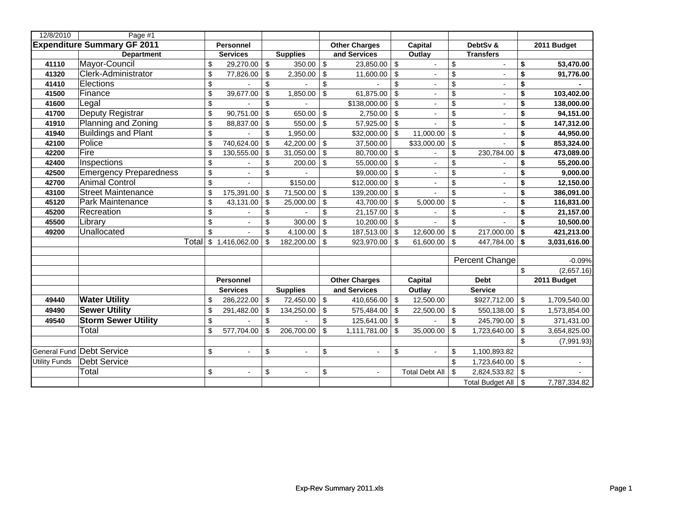| 12/8/2010<br>Page #1               |                                  |               |                  |                         |                 |                           |                      |               |                       |                           |                          |             |              |  |
|------------------------------------|----------------------------------|---------------|------------------|-------------------------|-----------------|---------------------------|----------------------|---------------|-----------------------|---------------------------|--------------------------|-------------|--------------|--|
| <b>Expenditure Summary GF 2011</b> |                                  |               | <b>Personnel</b> |                         |                 |                           | <b>Other Charges</b> |               | Capital               |                           | DebtSv &                 |             | 2011 Budget  |  |
|                                    | <b>Department</b>                |               | <b>Services</b>  |                         | <b>Supplies</b> |                           | and Services         |               | Outlay                |                           | <b>Transfers</b>         |             |              |  |
| 41110                              | Mayor-Council                    | \$            | 29,270.00        | $\sqrt[6]{\frac{1}{2}}$ | 350.00          | $\sqrt[6]{\frac{1}{2}}$   | 23,850.00            | \$            |                       | $\,$                      | $\overline{\phantom{a}}$ | \$          | 53,470.00    |  |
| 41320                              | Clerk-Administrator              | \$            | 77,826.00        | $\sqrt[6]{\frac{1}{2}}$ | 2,350.00        | $\boldsymbol{\mathsf{S}}$ | 11,600.00            | \$            |                       | $\,$                      | $\blacksquare$           | \$          | 91,776.00    |  |
| 41410                              | Elections                        | \$            |                  | \$                      |                 | \$                        |                      | \$            |                       | $\boldsymbol{\mathsf{S}}$ | ÷                        | \$          |              |  |
| 41500                              | Finance                          | $\mathfrak s$ | 39,677.00        | \$                      | 1,850.00        | $\boldsymbol{\mathsf{s}}$ | 61,875.00            | $\mathbb{S}$  | $\blacksquare$        | $\boldsymbol{\mathsf{S}}$ | $\overline{a}$           | \$          | 103,402.00   |  |
| 41600                              | Legal                            | \$            |                  | \$                      |                 |                           | \$138,000.00         | \$            |                       | $\boldsymbol{\mathsf{S}}$ | $\overline{a}$           | \$          | 138,000.00   |  |
| 41700                              | <b>Deputy Registrar</b>          | \$            | 90,751.00        | \$                      | 650.00          | \$                        | $2,750.00$ \$        |               |                       | $\boldsymbol{\mathsf{S}}$ | $\blacksquare$           | \$          | 94,151.00    |  |
| 41910                              | Planning and Zoning              | \$            | 88,837.00        | $\sqrt[6]{\frac{1}{2}}$ | 550.00          | \$                        | 57,925.00 \$         |               |                       | $\sqrt{2}$                | $\overline{a}$           | \$          | 147,312.00   |  |
| 41940                              | <b>Buildings and Plant</b>       | \$            |                  | $\sqrt[6]{\frac{1}{2}}$ | 1,950.00        |                           | \$32,000.00          | - \$          | 11,000.00             | $\sqrt{2}$                | $\overline{a}$           | \$          | 44,950.00    |  |
| 42100                              | Police                           | \$            | 740,624.00       | $\sqrt[6]{\frac{1}{2}}$ | 42,200.00       | $\sqrt[6]{\frac{1}{2}}$   | 37,500.00            |               | \$33,000.00           | $\boldsymbol{\mathsf{S}}$ |                          | \$          | 853,324.00   |  |
| 42200                              | Fire                             | \$            | 130,555.00       | \$                      | 31,050.00       | $\sqrt[6]{3}$             | 80,700.00            | \$            |                       | \$                        | 230,784.00               | \$          | 473,089.00   |  |
| 42400                              | Inspections                      | \$            |                  | \$                      | 200.00          | \$                        | 55,000.00 \$         |               |                       | $\boldsymbol{\mathsf{S}}$ |                          | \$          | 55,200.00    |  |
| 42500                              | <b>Emergency Preparedness</b>    | \$            | $\blacksquare$   | \$                      |                 |                           | $$9,000.00$ \$       |               | $\blacksquare$        | $\boldsymbol{\mathsf{S}}$ | $\blacksquare$           | \$          | 9,000.00     |  |
| 42700                              | <b>Animal Control</b>            | \$            |                  |                         | \$150.00        |                           | \$12,000.00          | $\sqrt[6]{3}$ |                       | $\boldsymbol{\mathsf{S}}$ | $\overline{a}$           | \$          | 12,150.00    |  |
| 43100                              | <b>Street Maintenance</b>        | \$            | 175,391.00       | \$                      | 71,500.00       | $\sqrt[6]{\frac{1}{2}}$   | 139,200.00           | $\sqrt[6]{2}$ |                       | $\boldsymbol{\mathsf{S}}$ |                          | \$          | 386,091.00   |  |
| 45120                              | Park Maintenance                 | \$            | 43,131.00        | \$                      | 25,000.00       | \$                        | 43,700.00            | \$            | 5,000.00              | $\boldsymbol{\mathsf{S}}$ |                          | \$          | 116,831.00   |  |
| 45200                              | Recreation                       | \$            |                  | \$                      |                 | \$                        | 21,157.00            | $\sqrt[6]{2}$ |                       | $\boldsymbol{\mathsf{S}}$ |                          | \$          | 21,157.00    |  |
| 45500                              | Library                          | \$            |                  | \$                      | 300.00          | $\boldsymbol{\mathsf{S}}$ | 10,200.00            | $\sqrt[6]{3}$ |                       | $\boldsymbol{\mathsf{S}}$ |                          | \$          | 10,500.00    |  |
| 49200                              | Unallocated                      | \$            |                  | $\mathbf{\$}$           | 4,100.00        | $\sqrt[6]{3}$             | 187,513.00           | -\$           | 12,600.00             | $\sqrt[6]{\frac{1}{2}}$   | 217,000.00               | \$          | 421,213.00   |  |
|                                    |                                  | Total         | \$1,416,062.00   | \$                      | 182,200.00      | \$                        | 923,970.00           | \$            | 61,600.00             | \$                        | 447,784.00               | \$          | 3,031,616.00 |  |
|                                    |                                  |               |                  |                         |                 |                           |                      |               |                       |                           |                          |             |              |  |
|                                    |                                  |               |                  |                         |                 |                           |                      |               |                       |                           | Percent Change           |             | $-0.09%$     |  |
|                                    |                                  |               |                  |                         |                 |                           |                      |               |                       |                           |                          |             | (2,657.16)   |  |
|                                    | <b>Personnel</b>                 |               |                  |                         |                 | <b>Other Charges</b>      |                      | Capital       |                       | <b>Debt</b>               |                          | 2011 Budget |              |  |
|                                    |                                  |               | <b>Services</b>  |                         | <b>Supplies</b> |                           | and Services         |               | Outlay                |                           | <b>Service</b>           |             |              |  |
| 49440                              | <b>Water Utility</b>             | \$            | 286,222.00       | \$                      | 72,450.00       | \$                        | 410,656.00 \$        |               | 12,500.00             |                           | \$927,712.00             | \$          | 1,709,540.00 |  |
| 49490                              | <b>Sewer Utility</b>             | \$            | 291,482.00       | \$                      | 134,250.00      | \$                        | 575,484.00           | -\$           | 22,500.00             | \$                        | 550,138.00               | \$          | 1,573,854.00 |  |
| 49540                              | <b>Storm Sewer Utility</b>       | \$            |                  | \$                      |                 | \$                        | 125,641.00 \$        |               |                       | \$                        | 245,790.00               | \$          | 371,431.00   |  |
|                                    | Total                            | \$            | 577,704.00       | \$                      | 206,700.00      | \$                        | 1,111,781.00         | -\$           | 35,000.00             | \$                        | 1,723,640.00             | \$          | 3,654,825.00 |  |
|                                    |                                  |               |                  |                         |                 |                           |                      |               |                       |                           |                          | \$          | (7,991.93)   |  |
|                                    | <b>General Fund Debt Service</b> | \$            | $\sim$           | \$                      | $\blacksquare$  | \$                        | $\blacksquare$       | \$            |                       | \$                        | 1,100,893.82             |             |              |  |
| Utility Funds                      | <b>Debt Service</b>              |               |                  |                         |                 |                           |                      |               |                       | \$                        | 1,723,640.00             | \$          |              |  |
|                                    | Total                            | \$            | $\blacksquare$   | \$                      | $\blacksquare$  | \$                        | $\blacksquare$       |               | <b>Total Debt All</b> | \$                        | 2,824,533.82             | \$          |              |  |
|                                    |                                  |               |                  |                         |                 |                           |                      |               |                       |                           | <b>Total Budget All</b>  | \$          | 7,787,334.82 |  |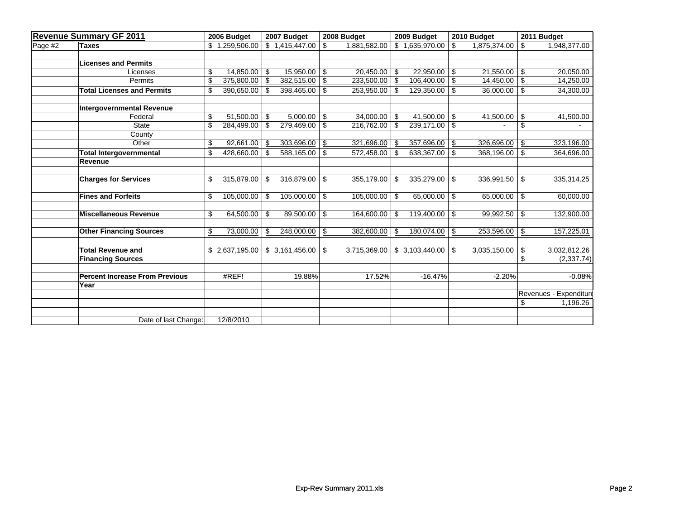| <b>Revenue Summary GF 2011</b> |                                       | 2006 Budget          | 2007 Budget      |    | 2008 Budget     |      | 2009 Budget     |    | 2010 Budget  |     | 2011 Budget            |  |
|--------------------------------|---------------------------------------|----------------------|------------------|----|-----------------|------|-----------------|----|--------------|-----|------------------------|--|
| Page #2                        | <b>Taxes</b>                          | \$1,259,506.00       | \$1,415,447.00   | \$ | 1,881,582.00    |      | \$1,635,970.00  | \$ | 1,875,374.00 | \$  | 1,948,377.00           |  |
|                                |                                       |                      |                  |    |                 |      |                 |    |              |     |                        |  |
|                                | <b>Licenses and Permits</b>           |                      |                  |    |                 |      |                 |    |              |     |                        |  |
|                                | Licenses                              | 14,850.00 \$<br>\$   | 15,950.00        | \$ | 20,450.00       | -\$  | 22,950.00       | \$ | 21,550.00    | -\$ | 20,050.00              |  |
|                                | Permits                               | 375,800.00           | 382,515.00<br>\$ | \$ | 233,500.00      | -\$  | 106,400.00      | \$ | 14,450.00    | \$  | 14,250.00              |  |
|                                | <b>Total Licenses and Permits</b>     | 390,650.00           | 398,465.00<br>\$ | \$ | 253,950.00      | -\$  | 129,350.00      | \$ | 36,000.00    | -\$ | 34,300.00              |  |
|                                |                                       |                      |                  |    |                 |      |                 |    |              |     |                        |  |
|                                | <b>Intergovernmental Revenue</b>      |                      |                  |    |                 |      |                 |    |              |     |                        |  |
|                                | Federal                               | $51,500.00$ \$<br>\$ | 5,000.00         | \$ | $34,000.00$ \$  |      | 41,500.00 \\$   |    | 41,500.00    | \$  | 41,500.00              |  |
|                                | <b>State</b>                          | \$<br>284,499.00     | 279,469.00<br>\$ | \$ | 216,762.00      | -\$  | $239,171.00$ \$ |    |              | \$  |                        |  |
|                                | County                                |                      |                  |    |                 |      |                 |    |              |     |                        |  |
|                                | Other                                 | 92,661.00<br>\$      | 303,696.00<br>\$ | \$ | 321,696.00      |      | 357,696.00      | \$ | 326,696.00   | -\$ | 323,196.00             |  |
|                                | <b>Total Intergovernmental</b>        | 428,660.00           | 588,165.00<br>\$ | \$ | 572,458.00      | -\$  | 638,367.00      | \$ | 368,196.00   | -\$ | 364,696.00             |  |
|                                | Revenue                               |                      |                  |    |                 |      |                 |    |              |     |                        |  |
|                                |                                       |                      |                  |    |                 |      |                 |    |              |     |                        |  |
|                                | <b>Charges for Services</b>           | 315,879.00<br>\$     | 316,879.00<br>\$ | \$ | 355,179.00      | -\$  | 335,279.00      | \$ | 336,991.50   | \$  | 335,314.25             |  |
|                                |                                       |                      |                  |    |                 |      |                 |    |              |     |                        |  |
|                                | <b>Fines and Forfeits</b>             | 105,000.00<br>\$     | \$<br>105,000.00 | \$ | $105,000.00$ \$ |      | 65,000.00       | \$ | 65,000.00    | \$  | 60,000.00              |  |
|                                |                                       |                      |                  |    |                 |      |                 |    |              |     |                        |  |
|                                | <b>Miscellaneous Revenue</b>          | 64,500.00<br>\$      | 89,500.00<br>\$  | \$ | 164,600.00      | -\$  | $119,400.00$ \$ |    | 99,992.50    | \$  | 132,900.00             |  |
|                                |                                       |                      |                  |    |                 |      |                 |    |              |     |                        |  |
|                                | <b>Other Financing Sources</b>        | 73,000.00<br>\$      | 248,000.00<br>\$ | \$ | 382,600.00      | - \$ | 180,074.00      | \$ | 253,596.00   | \$  | 157,225.01             |  |
|                                |                                       |                      |                  |    |                 |      |                 |    |              |     |                        |  |
|                                | <b>Total Revenue and</b>              | \$2,637,195.00       | \$3,161,456.00   | \$ | 3,715,369.00    |      | \$3,103,440.00  | \$ | 3,035,150.00 | \$  | 3,032,812.26           |  |
|                                | <b>Financing Sources</b>              |                      |                  |    |                 |      |                 |    |              | \$  | (2, 337.74)            |  |
|                                |                                       |                      |                  |    |                 |      |                 |    |              |     |                        |  |
|                                | <b>Percent Increase From Previous</b> | #REF!                | 19.88%           |    | 17.52%          |      | $-16.47%$       |    | $-2.20%$     |     | $-0.08%$               |  |
|                                | Year                                  |                      |                  |    |                 |      |                 |    |              |     |                        |  |
|                                |                                       |                      |                  |    |                 |      |                 |    |              |     | Revenues - Expenditure |  |
|                                |                                       |                      |                  |    |                 |      |                 |    |              | \$  | 1,196.26               |  |
|                                |                                       |                      |                  |    |                 |      |                 |    |              |     |                        |  |
|                                | Date of last Change:                  | 12/8/2010            |                  |    |                 |      |                 |    |              |     |                        |  |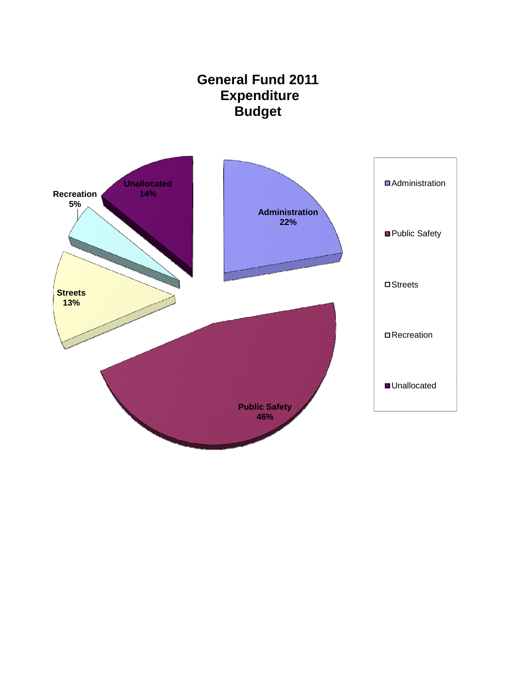## **General Fund 2011 Expenditure Budget**

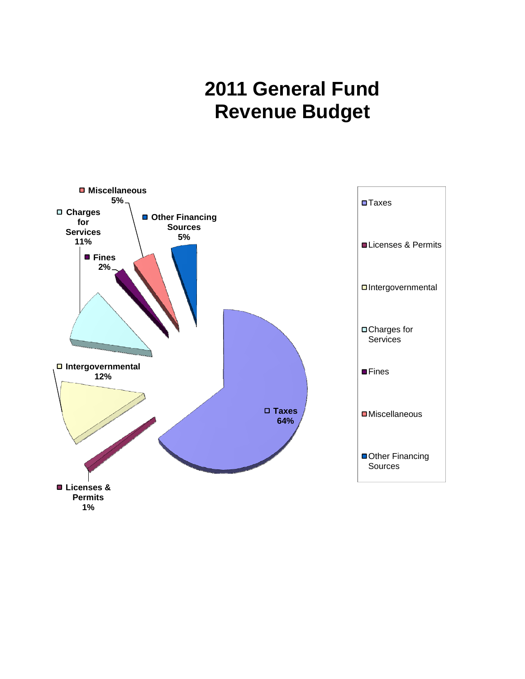## **2011 General Fund Revenue Budget**